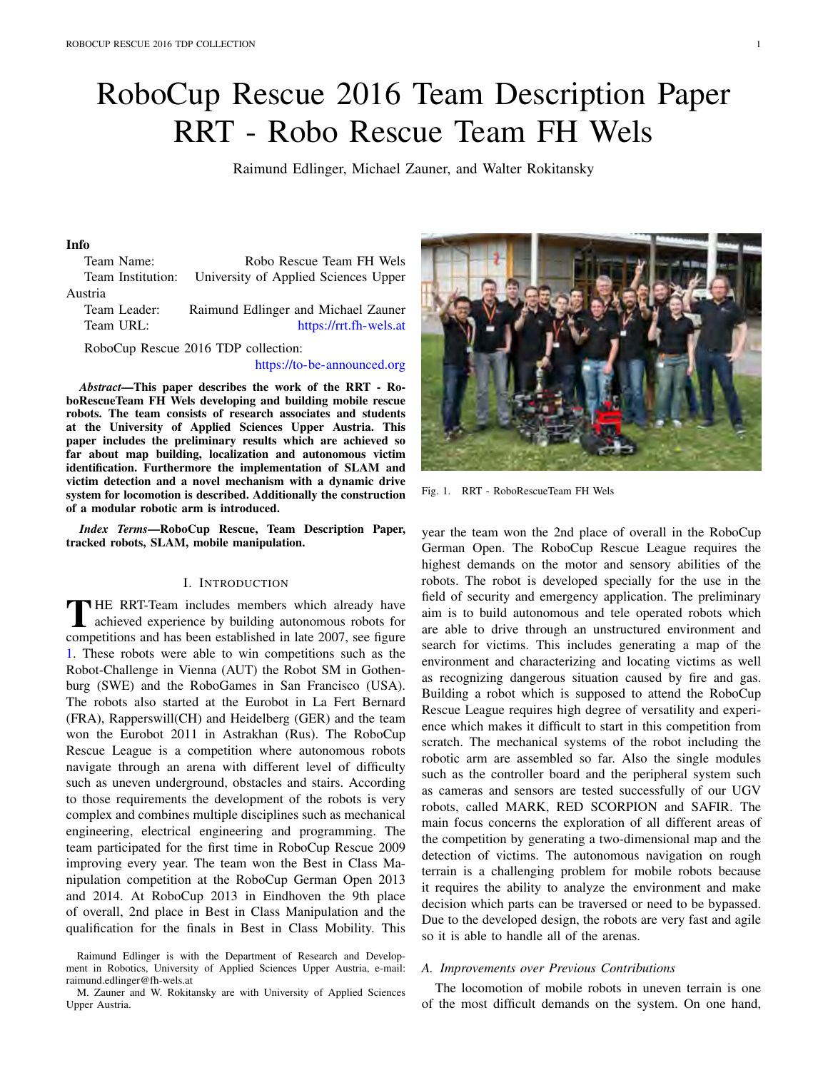# RoboCup Rescue 2016 Team Description Paper RRT - Robo Rescue Team FH Wels

Raimund Edlinger, Michael Zauner, and Walter Rokitansky

# Info

Team Name: Robo Rescue Team FH Wels Team Institution: University of Applied Sciences Upper Austria

Team Leader: Raimund Edlinger and Michael Zauner Team URL: https://rrt.fh-wels.at

RoboCup Rescue 2016 TDP collection:

https://to-be-announced.org

*Abstract*—This paper describes the work of the RRT - RoboRescueTeam FH Wels developing and building mobile rescue robots. The team consists of research associates and students at the University of Applied Sciences Upper Austria. This paper includes the preliminary results which are achieved so far about map building, localization and autonomous victim identification. Furthermore the implementation of SLAM and victim detection and a novel mechanism with a dynamic drive system for locomotion is described. Additionally the construction of a modular robotic arm is introduced.

*Index Terms*—RoboCup Rescue, Team Description Paper, tracked robots, SLAM, mobile manipulation.

## I. INTRODUCTION

THE RRT-Team includes members which already have<br>achieved experience by building autonomous robots for<br>compatitions and has been established in late 2007, see figure competitions and has been established in late 2007, see figure 1. These robots were able to win competitions such as the Robot-Challenge in Vienna (AUT) the Robot SM in Gothenburg (SWE) and the RoboGames in San Francisco (USA). The robots also started at the Eurobot in La Fert Bernard (FRA), Rapperswill(CH) and Heidelberg (GER) and the team won the Eurobot 2011 in Astrakhan (Rus). The RoboCup Rescue League is a competition where autonomous robots navigate through an arena with different level of difficulty such as uneven underground, obstacles and stairs. According to those requirements the development of the robots is very complex and combines multiple disciplines such as mechanical engineering, electrical engineering and programming. The team participated for the first time in RoboCup Rescue 2009 improving every year. The team won the Best in Class Manipulation competition at the RoboCup German Open 2013 and 2014. At RoboCup 2013 in Eindhoven the 9th place of overall, 2nd place in Best in Class Manipulation and the qualification for the finals in Best in Class Mobility. This



Fig. 1. RRT - RoboRescueTeam FH Wels

year the team won the 2nd place of overall in the RoboCup German Open. The RoboCup Rescue League requires the highest demands on the motor and sensory abilities of the robots. The robot is developed specially for the use in the field of security and emergency application. The preliminary aim is to build autonomous and tele operated robots which are able to drive through an unstructured environment and search for victims. This includes generating a map of the environment and characterizing and locating victims as well as recognizing dangerous situation caused by fire and gas. Building a robot which is supposed to attend the RoboCup Rescue League requires high degree of versatility and experience which makes it difficult to start in this competition from scratch. The mechanical systems of the robot including the robotic arm are assembled so far. Also the single modules such as the controller board and the peripheral system such as cameras and sensors are tested successfully of our UGV robots, called MARK, RED SCORPION and SAFIR. The main focus concerns the exploration of all different areas of the competition by generating a two-dimensional map and the detection of victims. The autonomous navigation on rough terrain is a challenging problem for mobile robots because it requires the ability to analyze the environment and make decision which parts can be traversed or need to be bypassed. Due to the developed design, the robots are very fast and agile so it is able to handle all of the arenas.

#### *A. Improvements over Previous Contributions*

The locomotion of mobile robots in uneven terrain is one of the most difficult demands on the system. On one hand,

Raimund Edlinger is with the Department of Research and Development in Robotics, University of Applied Sciences Upper Austria, e-mail: raimund.edlinger@fh-wels.at

M. Zauner and W. Rokitansky are with University of Applied Sciences Upper Austria.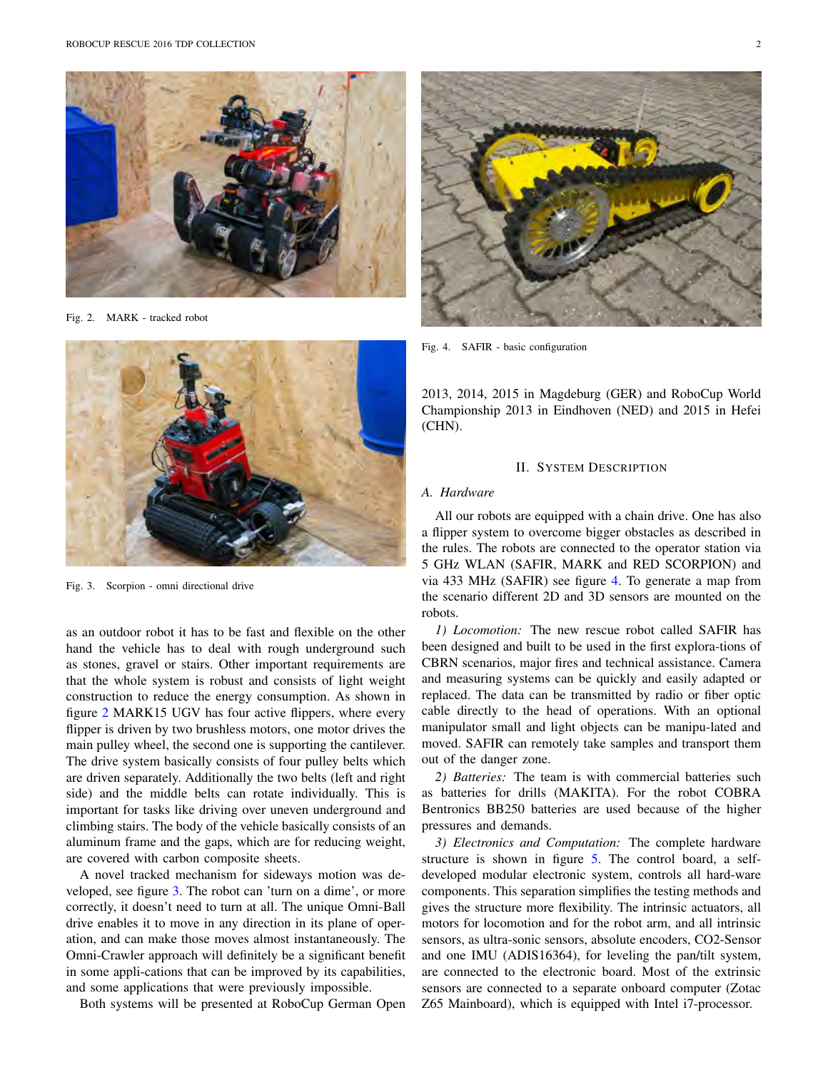

Fig. 2. MARK - tracked robot



Fig. 3. Scorpion - omni directional drive

as an outdoor robot it has to be fast and flexible on the other hand the vehicle has to deal with rough underground such as stones, gravel or stairs. Other important requirements are that the whole system is robust and consists of light weight construction to reduce the energy consumption. As shown in figure 2 MARK15 UGV has four active flippers, where every flipper is driven by two brushless motors, one motor drives the main pulley wheel, the second one is supporting the cantilever. The drive system basically consists of four pulley belts which are driven separately. Additionally the two belts (left and right side) and the middle belts can rotate individually. This is important for tasks like driving over uneven underground and climbing stairs. The body of the vehicle basically consists of an aluminum frame and the gaps, which are for reducing weight, are covered with carbon composite sheets.

A novel tracked mechanism for sideways motion was developed, see figure 3. The robot can 'turn on a dime', or more correctly, it doesn't need to turn at all. The unique Omni-Ball drive enables it to move in any direction in its plane of operation, and can make those moves almost instantaneously. The Omni-Crawler approach will definitely be a significant benefit in some appli-cations that can be improved by its capabilities, and some applications that were previously impossible.

Both systems will be presented at RoboCup German Open



Fig. 4. SAFIR - basic configuration

2013, 2014, 2015 in Magdeburg (GER) and RoboCup World Championship 2013 in Eindhoven (NED) and 2015 in Hefei (CHN).

## II. SYSTEM DESCRIPTION

## *A. Hardware*

All our robots are equipped with a chain drive. One has also a flipper system to overcome bigger obstacles as described in the rules. The robots are connected to the operator station via 5 GHz WLAN (SAFIR, MARK and RED SCORPION) and via 433 MHz (SAFIR) see figure 4. To generate a map from the scenario different 2D and 3D sensors are mounted on the robots.

*1) Locomotion:* The new rescue robot called SAFIR has been designed and built to be used in the first explora-tions of CBRN scenarios, major fires and technical assistance. Camera and measuring systems can be quickly and easily adapted or replaced. The data can be transmitted by radio or fiber optic cable directly to the head of operations. With an optional manipulator small and light objects can be manipu-lated and moved. SAFIR can remotely take samples and transport them out of the danger zone.

*2) Batteries:* The team is with commercial batteries such as batteries for drills (MAKITA). For the robot COBRA Bentronics BB250 batteries are used because of the higher pressures and demands.

*3) Electronics and Computation:* The complete hardware structure is shown in figure 5. The control board, a selfdeveloped modular electronic system, controls all hard-ware components. This separation simplifies the testing methods and gives the structure more flexibility. The intrinsic actuators, all motors for locomotion and for the robot arm, and all intrinsic sensors, as ultra-sonic sensors, absolute encoders, CO2-Sensor and one IMU (ADIS16364), for leveling the pan/tilt system, are connected to the electronic board. Most of the extrinsic sensors are connected to a separate onboard computer (Zotac Z65 Mainboard), which is equipped with Intel i7-processor.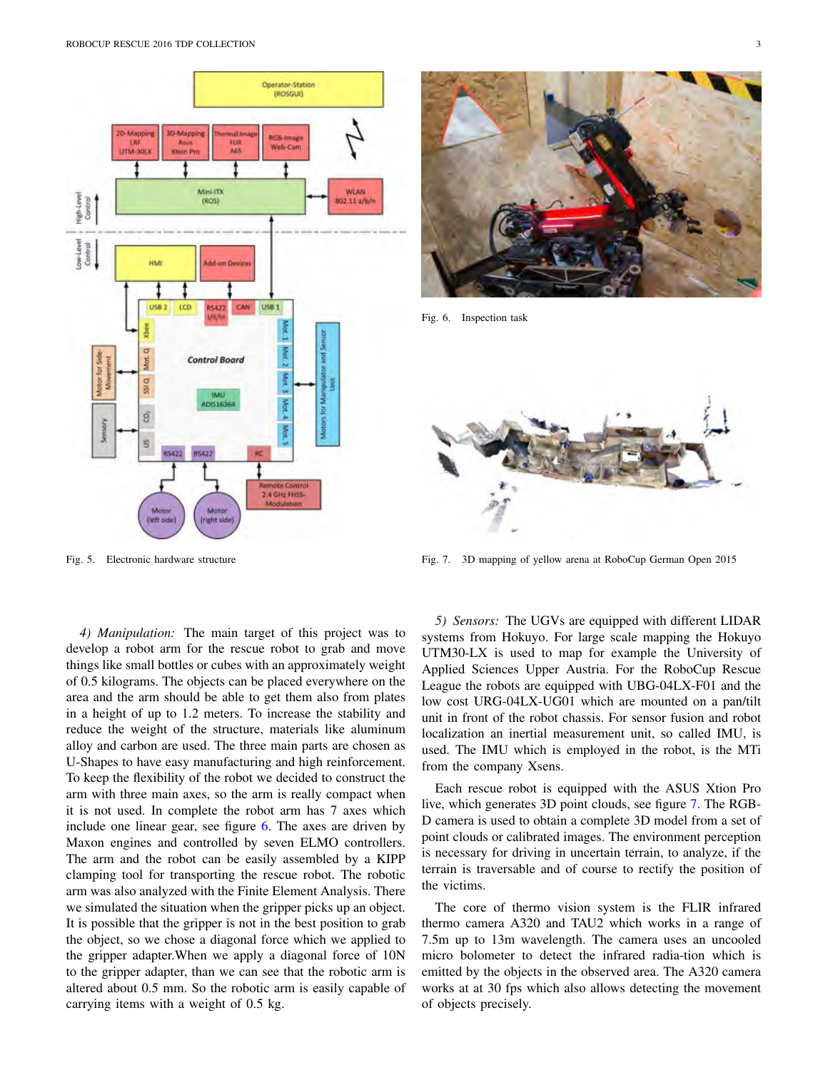



Fig. 6. Inspection task



Fig. 7. 3D mapping of yellow arena at RoboCup German Open 2015

Fig. 5. Electronic hardware structure

*4) Manipulation:* The main target of this project was to develop a robot arm for the rescue robot to grab and move things like small bottles or cubes with an approximately weight of 0.5 kilograms. The objects can be placed everywhere on the area and the arm should be able to get them also from plates in a height of up to 1.2 meters. To increase the stability and reduce the weight of the structure, materials like aluminum alloy and carbon are used. The three main parts are chosen as U-Shapes to have easy manufacturing and high reinforcement. To keep the flexibility of the robot we decided to construct the arm with three main axes, so the arm is really compact when it is not used. In complete the robot arm has 7 axes which include one linear gear, see figure 6. The axes are driven by Maxon engines and controlled by seven ELMO controllers. The arm and the robot can be easily assembled by a KIPP clamping tool for transporting the rescue robot. The robotic arm was also analyzed with the Finite Element Analysis. There we simulated the situation when the gripper picks up an object. It is possible that the gripper is not in the best position to grab the object, so we chose a diagonal force which we applied to the gripper adapter.When we apply a diagonal force of 10N to the gripper adapter, than we can see that the robotic arm is altered about 0.5 mm. So the robotic arm is easily capable of carrying items with a weight of 0.5 kg.

*5) Sensors:* The UGVs are equipped with different LIDAR systems from Hokuyo. For large scale mapping the Hokuyo UTM30-LX is used to map for example the University of Applied Sciences Upper Austria. For the RoboCup Rescue League the robots are equipped with UBG-04LX-F01 and the low cost URG-04LX-UG01 which are mounted on a pan/tilt unit in front of the robot chassis. For sensor fusion and robot localization an inertial measurement unit, so called IMU, is used. The IMU which is employed in the robot, is the MTi from the company Xsens.

Each rescue robot is equipped with the ASUS Xtion Pro live, which generates 3D point clouds, see figure 7. The RGB-D camera is used to obtain a complete 3D model from a set of point clouds or calibrated images. The environment perception is necessary for driving in uncertain terrain, to analyze, if the terrain is traversable and of course to rectify the position of the victims.

The core of thermo vision system is the FLIR infrared thermo camera A320 and TAU2 which works in a range of 7.5m up to 13m wavelength. The camera uses an uncooled micro bolometer to detect the infrared radia-tion which is emitted by the objects in the observed area. The A320 camera works at at 30 fps which also allows detecting the movement of objects precisely.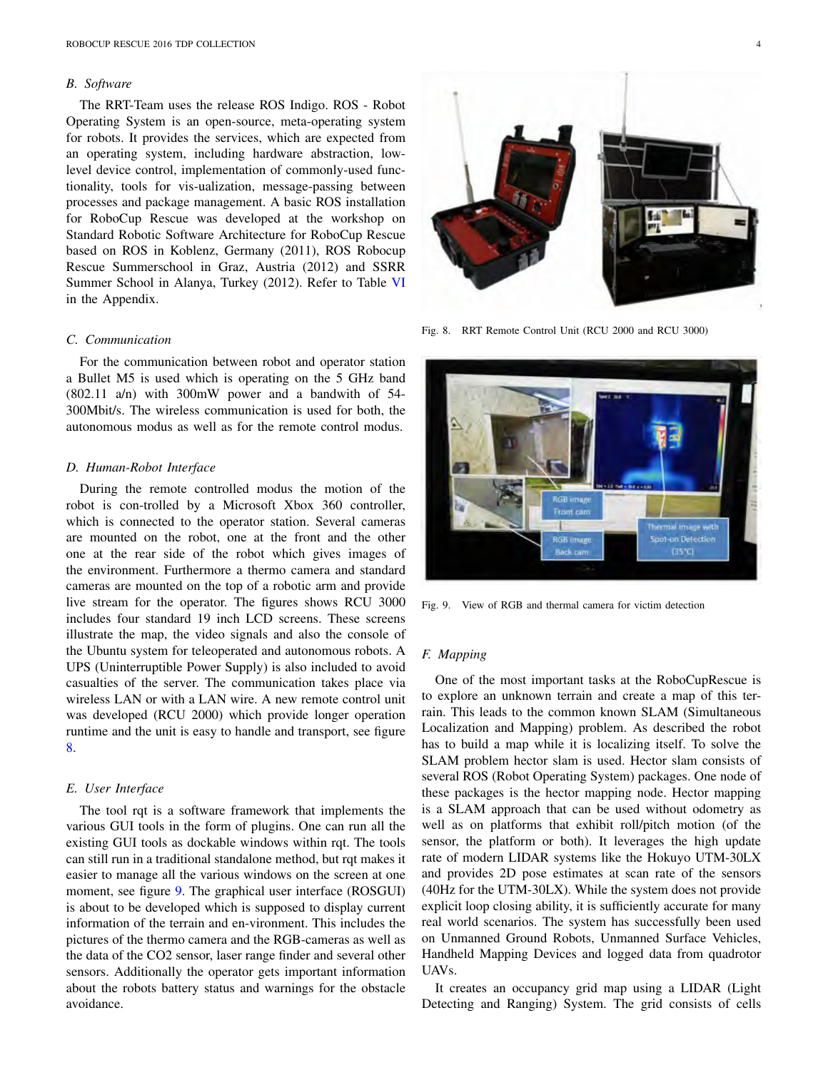#### *B. Software*

The RRT-Team uses the release ROS Indigo. ROS - Robot Operating System is an open-source, meta-operating system for robots. It provides the services, which are expected from an operating system, including hardware abstraction, lowlevel device control, implementation of commonly-used functionality, tools for vis-ualization, message-passing between processes and package management. A basic ROS installation for RoboCup Rescue was developed at the workshop on Standard Robotic Software Architecture for RoboCup Rescue based on ROS in Koblenz, Germany (2011), ROS Robocup Rescue Summerschool in Graz, Austria (2012) and SSRR Summer School in Alanya, Turkey (2012). Refer to Table VI in the Appendix.

## *C. Communication*

For the communication between robot and operator station a Bullet M5 is used which is operating on the 5 GHz band (802.11 a/n) with 300mW power and a bandwith of 54- 300Mbit/s. The wireless communication is used for both, the autonomous modus as well as for the remote control modus.

## *D. Human-Robot Interface*

During the remote controlled modus the motion of the robot is con-trolled by a Microsoft Xbox 360 controller, which is connected to the operator station. Several cameras are mounted on the robot, one at the front and the other one at the rear side of the robot which gives images of the environment. Furthermore a thermo camera and standard cameras are mounted on the top of a robotic arm and provide live stream for the operator. The figures shows RCU 3000 includes four standard 19 inch LCD screens. These screens illustrate the map, the video signals and also the console of the Ubuntu system for teleoperated and autonomous robots. A UPS (Uninterruptible Power Supply) is also included to avoid casualties of the server. The communication takes place via wireless LAN or with a LAN wire. A new remote control unit was developed (RCU 2000) which provide longer operation runtime and the unit is easy to handle and transport, see figure 8.

# *E. User Interface*

The tool rqt is a software framework that implements the various GUI tools in the form of plugins. One can run all the existing GUI tools as dockable windows within rqt. The tools can still run in a traditional standalone method, but rqt makes it easier to manage all the various windows on the screen at one moment, see figure 9. The graphical user interface (ROSGUI) is about to be developed which is supposed to display current information of the terrain and en-vironment. This includes the pictures of the thermo camera and the RGB-cameras as well as the data of the CO2 sensor, laser range finder and several other sensors. Additionally the operator gets important information about the robots battery status and warnings for the obstacle avoidance.



Fig. 8. RRT Remote Control Unit (RCU 2000 and RCU 3000)



Fig. 9. View of RGB and thermal camera for victim detection

## *F. Mapping*

One of the most important tasks at the RoboCupRescue is to explore an unknown terrain and create a map of this terrain. This leads to the common known SLAM (Simultaneous Localization and Mapping) problem. As described the robot has to build a map while it is localizing itself. To solve the SLAM problem hector slam is used. Hector slam consists of several ROS (Robot Operating System) packages. One node of these packages is the hector mapping node. Hector mapping is a SLAM approach that can be used without odometry as well as on platforms that exhibit roll/pitch motion (of the sensor, the platform or both). It leverages the high update rate of modern LIDAR systems like the Hokuyo UTM-30LX and provides 2D pose estimates at scan rate of the sensors (40Hz for the UTM-30LX). While the system does not provide explicit loop closing ability, it is sufficiently accurate for many real world scenarios. The system has successfully been used on Unmanned Ground Robots, Unmanned Surface Vehicles, Handheld Mapping Devices and logged data from quadrotor UAVs.

It creates an occupancy grid map using a LIDAR (Light Detecting and Ranging) System. The grid consists of cells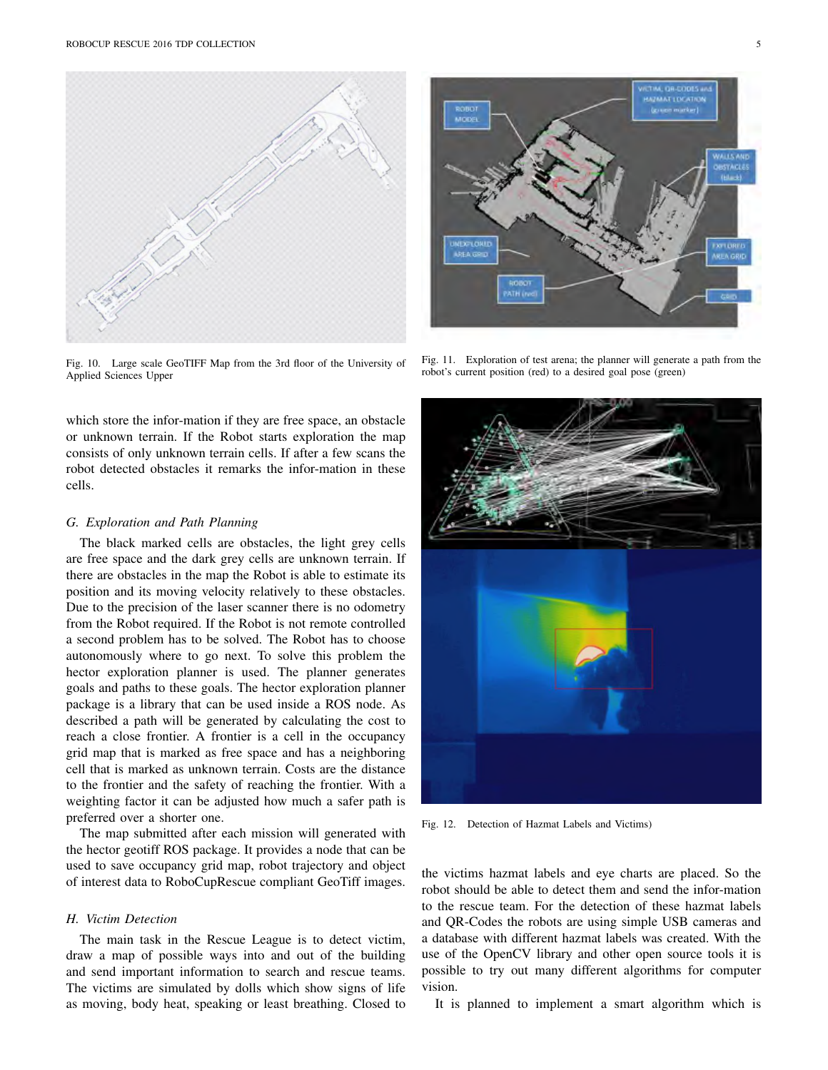

Fig. 10. Large scale GeoTIFF Map from the 3rd floor of the University of Applied Sciences Upper

which store the infor-mation if they are free space, an obstacle or unknown terrain. If the Robot starts exploration the map consists of only unknown terrain cells. If after a few scans the robot detected obstacles it remarks the infor-mation in these cells.

#### *G. Exploration and Path Planning*

The black marked cells are obstacles, the light grey cells are free space and the dark grey cells are unknown terrain. If there are obstacles in the map the Robot is able to estimate its position and its moving velocity relatively to these obstacles. Due to the precision of the laser scanner there is no odometry from the Robot required. If the Robot is not remote controlled a second problem has to be solved. The Robot has to choose autonomously where to go next. To solve this problem the hector exploration planner is used. The planner generates goals and paths to these goals. The hector exploration planner package is a library that can be used inside a ROS node. As described a path will be generated by calculating the cost to reach a close frontier. A frontier is a cell in the occupancy grid map that is marked as free space and has a neighboring cell that is marked as unknown terrain. Costs are the distance to the frontier and the safety of reaching the frontier. With a weighting factor it can be adjusted how much a safer path is preferred over a shorter one.

The map submitted after each mission will generated with the hector geotiff ROS package. It provides a node that can be used to save occupancy grid map, robot trajectory and object of interest data to RoboCupRescue compliant GeoTiff images.

## *H. Victim Detection*

The main task in the Rescue League is to detect victim, draw a map of possible ways into and out of the building and send important information to search and rescue teams. The victims are simulated by dolls which show signs of life as moving, body heat, speaking or least breathing. Closed to



Fig. 11. Exploration of test arena; the planner will generate a path from the robot's current position (red) to a desired goal pose (green)



Fig. 12. Detection of Hazmat Labels and Victims)

the victims hazmat labels and eye charts are placed. So the robot should be able to detect them and send the infor-mation to the rescue team. For the detection of these hazmat labels and QR-Codes the robots are using simple USB cameras and a database with different hazmat labels was created. With the use of the OpenCV library and other open source tools it is possible to try out many different algorithms for computer vision.

It is planned to implement a smart algorithm which is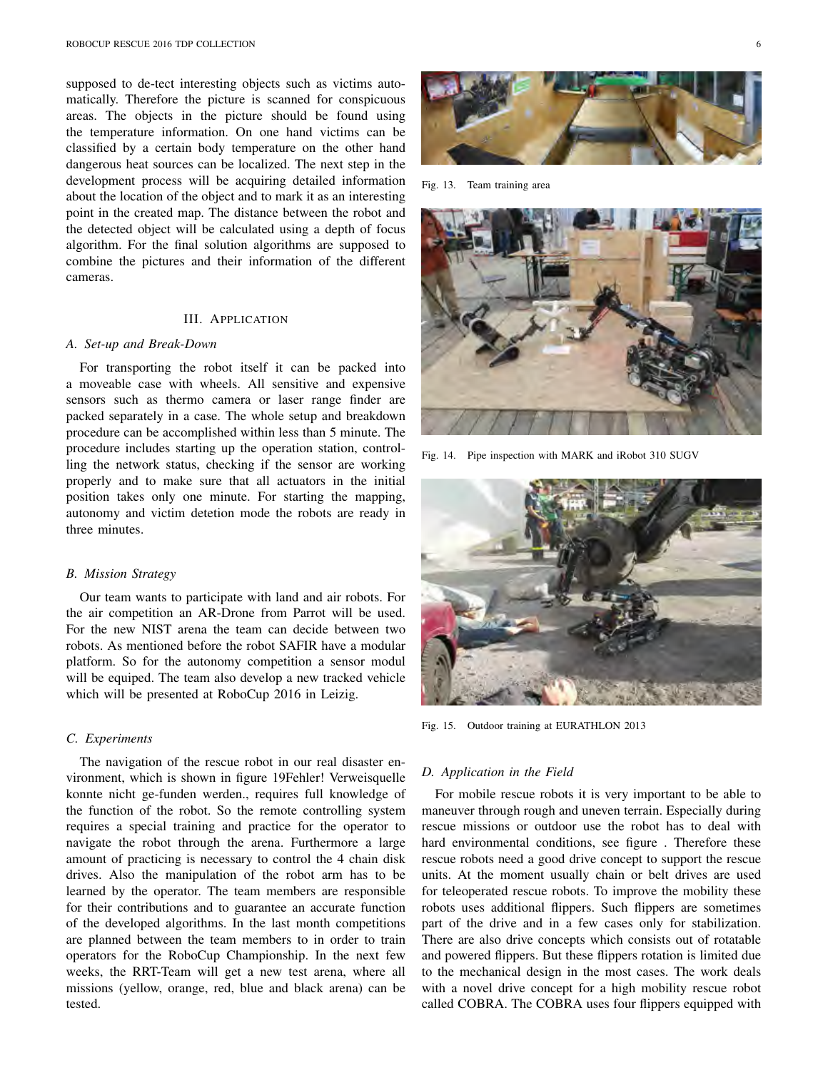supposed to de-tect interesting objects such as victims automatically. Therefore the picture is scanned for conspicuous areas. The objects in the picture should be found using the temperature information. On one hand victims can be classified by a certain body temperature on the other hand dangerous heat sources can be localized. The next step in the development process will be acquiring detailed information about the location of the object and to mark it as an interesting point in the created map. The distance between the robot and the detected object will be calculated using a depth of focus algorithm. For the final solution algorithms are supposed to combine the pictures and their information of the different cameras.

## III. APPLICATION

#### *A. Set-up and Break-Down*

For transporting the robot itself it can be packed into a moveable case with wheels. All sensitive and expensive sensors such as thermo camera or laser range finder are packed separately in a case. The whole setup and breakdown procedure can be accomplished within less than 5 minute. The procedure includes starting up the operation station, controlling the network status, checking if the sensor are working properly and to make sure that all actuators in the initial position takes only one minute. For starting the mapping, autonomy and victim detetion mode the robots are ready in three minutes.

## *B. Mission Strategy*

Our team wants to participate with land and air robots. For the air competition an AR-Drone from Parrot will be used. For the new NIST arena the team can decide between two robots. As mentioned before the robot SAFIR have a modular platform. So for the autonomy competition a sensor modul will be equiped. The team also develop a new tracked vehicle which will be presented at RoboCup 2016 in Leizig.

## *C. Experiments*

The navigation of the rescue robot in our real disaster environment, which is shown in figure 19Fehler! Verweisquelle konnte nicht ge-funden werden., requires full knowledge of the function of the robot. So the remote controlling system requires a special training and practice for the operator to navigate the robot through the arena. Furthermore a large amount of practicing is necessary to control the 4 chain disk drives. Also the manipulation of the robot arm has to be learned by the operator. The team members are responsible for their contributions and to guarantee an accurate function of the developed algorithms. In the last month competitions are planned between the team members to in order to train operators for the RoboCup Championship. In the next few weeks, the RRT-Team will get a new test arena, where all missions (yellow, orange, red, blue and black arena) can be tested.



Fig. 13. Team training area



Fig. 14. Pipe inspection with MARK and iRobot 310 SUGV



Fig. 15. Outdoor training at EURATHLON 2013

#### *D. Application in the Field*

For mobile rescue robots it is very important to be able to maneuver through rough and uneven terrain. Especially during rescue missions or outdoor use the robot has to deal with hard environmental conditions, see figure . Therefore these rescue robots need a good drive concept to support the rescue units. At the moment usually chain or belt drives are used for teleoperated rescue robots. To improve the mobility these robots uses additional flippers. Such flippers are sometimes part of the drive and in a few cases only for stabilization. There are also drive concepts which consists out of rotatable and powered flippers. But these flippers rotation is limited due to the mechanical design in the most cases. The work deals with a novel drive concept for a high mobility rescue robot called COBRA. The COBRA uses four flippers equipped with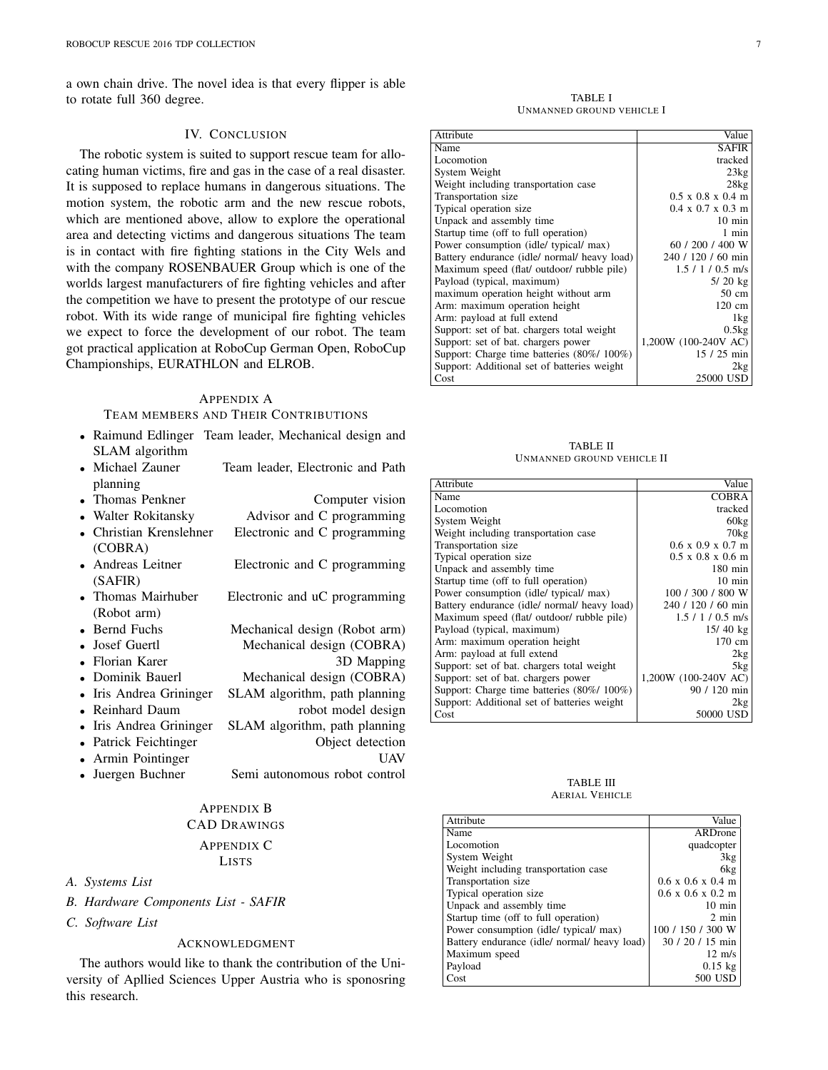a own chain drive. The novel idea is that every flipper is able to rotate full 360 degree.

## IV. CONCLUSION

The robotic system is suited to support rescue team for allocating human victims, fire and gas in the case of a real disaster. It is supposed to replace humans in dangerous situations. The motion system, the robotic arm and the new rescue robots, which are mentioned above, allow to explore the operational area and detecting victims and dangerous situations The team is in contact with fire fighting stations in the City Wels and with the company ROSENBAUER Group which is one of the worlds largest manufacturers of fire fighting vehicles and after the competition we have to present the prototype of our rescue robot. With its wide range of municipal fire fighting vehicles we expect to force the development of our robot. The team got practical application at RoboCup German Open, RoboCup Championships, EURATHLON and ELROB.

## APPENDIX A

# TEAM MEMBERS AND THEIR CONTRIBUTIONS

- *•* Raimund Edlinger Team leader, Mechanical design and SLAM algorithm
- Michael Zauner Team leader, Electronic and Path planning
- Thomas Penkner Computer vision • Walter Rokitansky **Advisor and C programming** *•* Christian Krenslehner Electronic and C programming (COBRA)
- Andreas Leitner **Electronic and C** programming (SAFIR)
- Thomas Mairhuber Electronic and uC programming (Robot arm)
- Bernd Fuchs Mechanical design (Robot arm)<br>• Josef Guertl Mechanical design (COBRA)
	- *•* Mechanical design (COBRA)<br><sup>3</sup>D Mapping
	-
- Florian Karer<br>• Dominik Bauerl • Dominik Bauerl Mechanical design (COBRA)<br>• Iris Andrea Grininger SLAM algorithm, path planning
- *•* Iris Andrea Grininger SLAM algorithm, path planning robot model design
- 
- *•* Iris Andrea Grininger SLAM algorithm, path planning
- Patrick Feichtinger
- Armin Pointinger UAV
- Juergen Buchner Semi autonomous robot control

# APPENDIX B CAD DRAWINGS APPENDIX C LISTS

# *A. Systems List*

- *B. Hardware Components List SAFIR*
- *C. Software List*

# ACKNOWLEDGMENT

The authors would like to thank the contribution of the University of Apllied Sciences Upper Austria who is sponosring this research.

TABLE I UNMANNED GROUND VEHICLE I

| Attribute                                    | Value                         |
|----------------------------------------------|-------------------------------|
| Name                                         | <b>SAFIR</b>                  |
| Locomotion                                   | tracked                       |
| System Weight                                | 23kg                          |
| Weight including transportation case         | 28kg                          |
| Transportation size                          | $0.5 \times 0.8 \times 0.4$ m |
| Typical operation size                       | $0.4 \times 0.7 \times 0.3$ m |
| Unpack and assembly time                     | $10 \text{ min}$              |
| Startup time (off to full operation)         | 1 min                         |
| Power consumption (idle/ typical/ max)       | 60 / 200 / 400 W              |
| Battery endurance (idle/ normal/ heavy load) | 240 / 120 / 60 min            |
| Maximum speed (flat/ outdoor/ rubble pile)   | $1.5 / 1 / 0.5$ m/s           |
| Payload (typical, maximum)                   | $5/20$ kg                     |
| maximum operation height without arm         | $50 \text{ cm}$               |
| Arm: maximum operation height                | $120 \text{ cm}$              |
| Arm: payload at full extend                  | 1kg                           |
| Support: set of bat. chargers total weight   | 0.5kg                         |
| Support: set of bat. chargers power          | 1,200W (100-240V AC)          |
| Support: Charge time batteries (80%/100%)    | $15/25$ min                   |
| Support: Additional set of batteries weight  | 2kg                           |
| Cost                                         | 25000 USD                     |

TABLE II UNMANNED GROUND VEHICLE II

| Attribute                                    | Value                                 |
|----------------------------------------------|---------------------------------------|
| Name                                         | <b>COBRA</b>                          |
| Locomotion                                   | tracked                               |
| System Weight                                | 60kg                                  |
| Weight including transportation case         | 70kg                                  |
| Transportation size                          | $0.6 \times 0.9 \times 0.7 \text{ m}$ |
| Typical operation size                       | $0.5 \times 0.8 \times 0.6$ m         |
| Unpack and assembly time                     | $180 \text{ min}$                     |
| Startup time (off to full operation)         | $10 \text{ min}$                      |
| Power consumption (idle/ typical/ max)       | 100 / 300 / 800 W                     |
| Battery endurance (idle/ normal/ heavy load) | 240 / 120 / 60 min                    |
| Maximum speed (flat/ outdoor/ rubble pile)   | $1.5 / 1 / 0.5$ m/s                   |
| Payload (typical, maximum)                   | $15/40$ kg                            |
| Arm: maximum operation height                | 170 cm                                |
| Arm: payload at full extend                  | 2kg                                   |
| Support: set of bat. chargers total weight   | 5kg                                   |
| Support: set of bat. chargers power          | 1,200W (100-240V AC)                  |
| Support: Charge time batteries (80%/ 100%)   | 90 / 120 min                          |
| Support: Additional set of batteries weight  | 2kg                                   |
| Cost                                         | 50000 USD                             |

#### TABLE III AERIAL VEHICLE

| Attribute                                    | Value                                 |
|----------------------------------------------|---------------------------------------|
| Name                                         | ARDrone                               |
| Locomotion                                   | quadcopter                            |
| System Weight                                | 3kg                                   |
| Weight including transportation case         | 6kg                                   |
| Transportation size                          | $0.6 \times 0.6 \times 0.4 \text{ m}$ |
| Typical operation size                       | $0.6 \times 0.6 \times 0.2 \text{ m}$ |
| Unpack and assembly time                     | $10 \text{ min}$                      |
| Startup time (off to full operation)         | $2 \text{ min}$                       |
| Power consumption (idle/ typical/ max)       | 100 / 150 / 300 W                     |
| Battery endurance (idle/ normal/ heavy load) | $30/20/15$ min                        |
| Maximum speed                                | $12 \text{ m/s}$                      |
| Payload                                      | $0.15$ kg                             |
| Cost                                         | 500 USD                               |
|                                              |                                       |